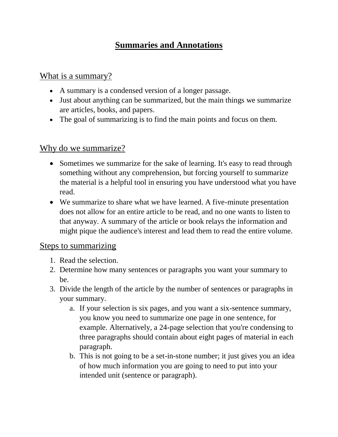# **Summaries and Annotations**

## What is a summary?

- A summary is a condensed version of a longer passage.
- Just about anything can be summarized, but the main things we summarize are articles, books, and papers.
- The goal of summarizing is to find the main points and focus on them.

## Why do we summarize?

- Sometimes we summarize for the sake of learning. It's easy to read through something without any comprehension, but forcing yourself to summarize the material is a helpful tool in ensuring you have understood what you have read.
- We summarize to share what we have learned. A five-minute presentation does not allow for an entire article to be read, and no one wants to listen to that anyway. A summary of the article or book relays the information and might pique the audience's interest and lead them to read the entire volume.

## Steps to summarizing

- 1. Read the selection.
- 2. Determine how many sentences or paragraphs you want your summary to be.
- 3. Divide the length of the article by the number of sentences or paragraphs in your summary.
	- a. If your selection is six pages, and you want a six-sentence summary, you know you need to summarize one page in one sentence, for example. Alternatively, a 24-page selection that you're condensing to three paragraphs should contain about eight pages of material in each paragraph.
	- b. This is not going to be a set-in-stone number; it just gives you an idea of how much information you are going to need to put into your intended unit (sentence or paragraph).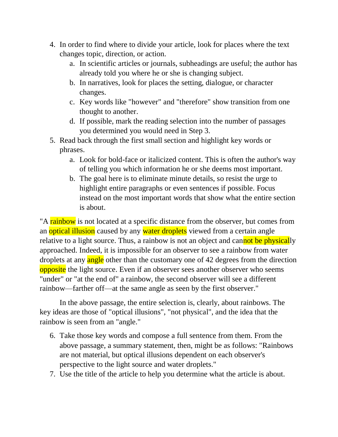- 4. In order to find where to divide your article, look for places where the text changes topic, direction, or action.
	- a. In scientific articles or journals, subheadings are useful; the author has already told you where he or she is changing subject.
	- b. In narratives, look for places the setting, dialogue, or character changes.
	- c. Key words like "however" and "therefore" show transition from one thought to another.
	- d. If possible, mark the reading selection into the number of passages you determined you would need in Step 3.
- 5. Read back through the first small section and highlight key words or phrases.
	- a. Look for bold-face or italicized content. This is often the author's way of telling you which information he or she deems most important.
	- b. The goal here is to eliminate minute details, so resist the urge to highlight entire paragraphs or even sentences if possible. Focus instead on the most important words that show what the entire section is about.

"A rainbow is not located at a specific distance from the observer, but comes from an optical illusion caused by any water droplets viewed from a certain angle relative to a light source. Thus, a rainbow is not an object and cannot be physically approached. Indeed, it is impossible for an observer to see a rainbow from water droplets at any angle other than the customary one of 42 degrees from the direction opposite the light source. Even if an observer sees another observer who seems "under" or "at the end of" a rainbow, the second observer will see a different rainbow—farther off—at the same angle as seen by the first observer."

In the above passage, the entire selection is, clearly, about rainbows. The key ideas are those of "optical illusions", "not physical", and the idea that the rainbow is seen from an "angle."

- 6. Take those key words and compose a full sentence from them. From the above passage, a summary statement, then, might be as follows: "Rainbows are not material, but optical illusions dependent on each observer's perspective to the light source and water droplets."
- 7. Use the title of the article to help you determine what the article is about.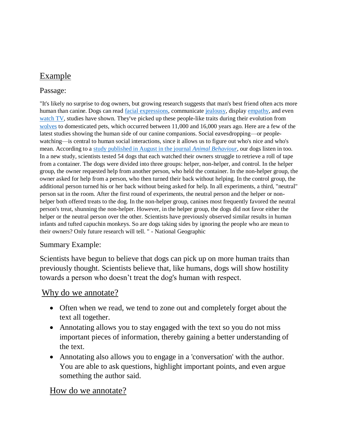## Example

### Passage:

"It's likely no surprise to dog owners, but growing research suggests that man's best friend often acts more human than canine. Dogs can read *facial expressions*, communicate [jealousy,](http://voices.nationalgeographic.com/2014/07/23/dogs-animals-jealousy-science-pets-owners/) display [empathy,](http://research.gold.ac.uk/7074/) and even [watch TV,](http://news.nationalgeographic.com/news/2015/01/150111-animals-dogs-television-pets-science-tv-behavior/) studies have shown. They've picked up these people-like traits during their evolution from [wolves](http://animals.nationalgeographic.com/animals/mammals/wolf/) to domesticated pets, which occurred between 11,000 and 16,000 years ago. Here are a few of the latest studies showing the human side of our canine companions. Social eavesdropping—or peoplewatching—is central to human social interactions, since it allows us to figure out who's nice and who's mean. According to a [study published in August in the journal](http://www.sciencedirect.com/science/article/pii/S0003347215001979) *Animal Behaviour*, our dogs listen in too. In a new study, scientists tested 54 dogs that each watched their owners struggle to retrieve a roll of tape from a container. The dogs were divided into three groups: helper, non-helper, and control. In the helper group, the owner requested help from another person, who held the container. In the non-helper group, the owner asked for help from a person, who then turned their back without helping. In the control group, the additional person turned his or her back without being asked for help. In all experiments, a third, "neutral" person sat in the room. After the first round of experiments, the neutral person and the helper or nonhelper both offered treats to the dog. In the non-helper group, canines most frequently favored the neutral person's treat, shunning the non-helper. However, in the helper group, the dogs did not favor either the helper or the neutral person over the other. Scientists have previously observed similar results in human infants and tufted capuchin monkeys. So are dogs taking sides by ignoring the people who are mean to their owners? Only future research will tell. " - National Geographic

#### Summary Example:

Scientists have begun to believe that dogs can pick up on more human traits than previously thought. Scientists believe that, like humans, dogs will show hostility towards a person who doesn't treat the dog's human with respect.

## Why do we annotate?

- Often when we read, we tend to zone out and completely forget about the text all together.
- Annotating allows you to stay engaged with the text so you do not miss important pieces of information, thereby gaining a better understanding of the text.
- Annotating also allows you to engage in a 'conversation' with the author. You are able to ask questions, highlight important points, and even argue something the author said.

## How do we annotate?